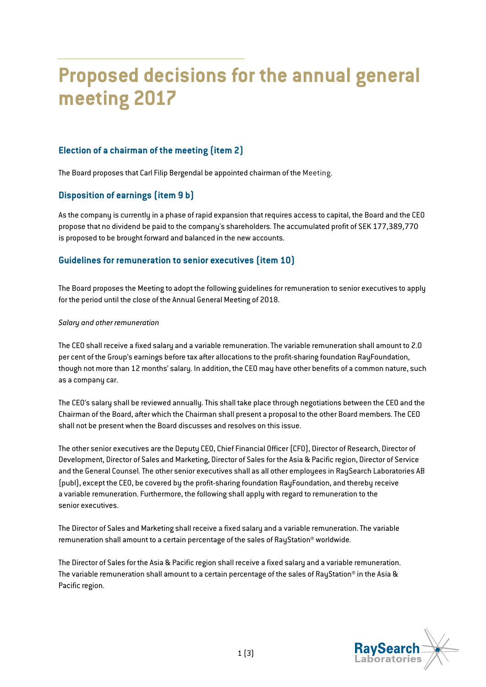# **Proposed decisions for the annual general meeting 2017**

# **Election of a chairman of the meeting (item 2)**

The Board proposes that Carl Filip Bergendal be appointed chairman of the Meeting.

## **Disposition of earnings (item 9 b)**

As the company is currently in a phase of rapid expansion that requires access to capital, the Board and the CEO propose that no dividend be paid to the company's shareholders. The accumulated profit of SEK 177,389,770 is proposed to be brought forward and balanced in the new accounts.

## **Guidelines for remuneration to senior executives (item 10)**

The Board proposes the Meeting to adopt the following guidelines for remuneration to senior executives to apply for the period until the close of the Annual General Meeting of 2018.

#### *Salary and other remuneration*

The CEO shall receive a fixed salary and a variable remuneration. The variable remuneration shall amount to 2.0 per cent of the Group's earnings before tax after allocations to the profit-sharing foundation RayFoundation, though not more than 12 months' salary. In addition, the CEO may have other benefits of a common nature, such as a company car.

The CEO's salary shall be reviewed annually. This shall take place through negotiations between the CEO and the Chairman of the Board, after which the Chairman shall present a proposal to the other Board members. The CEO shall not be present when the Board discusses and resolves on this issue.

The other senior executives are the Deputy CEO, Chief Financial Officer (CFO), Director of Research, Director of Development, Director of Sales and Marketing, Director of Sales for the Asia & Pacific region, Director of Service and the General Counsel. The other senior executives shall as all other employees in RaySearch Laboratories AB (publ), except the CEO, be covered by the profit-sharing foundation RayFoundation, and thereby receive a variable remuneration. Furthermore, the following shall apply with regard to remuneration to the senior executives.

The Director of Sales and Marketing shall receive a fixed salary and a variable remuneration. The variable remuneration shall amount to a certain percentage of the sales of RayStation® worldwide.

The Director of Sales for the Asia & Pacific region shall receive a fixed salary and a variable remuneration. The variable remuneration shall amount to a certain percentage of the sales of RayStation® in the Asia & Pacific region.

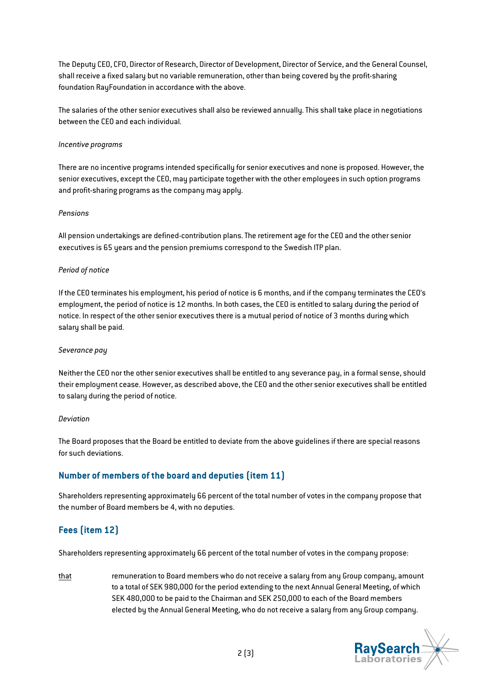The Deputy CEO, CFO, Director of Research, Director of Development, Director of Service, and the General Counsel, shall receive a fixed salary but no variable remuneration, other than being covered by the profit-sharing foundation RayFoundation in accordance with the above.

The salaries of the other senior executives shall also be reviewed annually. This shall take place in negotiations between the CEO and each individual.

#### *Incentive programs*

There are no incentive programs intended specifically for senior executives and none is proposed. However, the senior executives, except the CEO, may participate together with the other employees in such option programs and profit-sharing programs as the company may apply.

#### *Pensions*

All pension undertakings are defined-contribution plans. The retirement age for the CEO and the other senior executives is 65 years and the pension premiums correspond to the Swedish ITP plan.

#### *Period of notice*

If the CEO terminates his employment, his period of notice is 6 months, and if the company terminates the CEO's employment, the period of notice is 12 months. In both cases, the CEO is entitled to salary during the period of notice. In respect of the other senior executives there is a mutual period of notice of 3 months during which salary shall be paid.

#### *Severance pay*

Neither the CEO nor the other senior executives shall be entitled to any severance pay, in a formal sense, should their employment cease. However, as described above, the CEO and the other senior executives shall be entitled to salary during the period of notice.

#### *Deviation*

The Board proposes that the Board be entitled to deviate from the above guidelines if there are special reasons for such deviations.

## **Number of members of the board and deputies (item 11)**

Shareholders representing approximately 66 percent of the total number of votes in the company propose that the number of Board members be 4, with no deputies.

# **Fees (item 12)**

Shareholders representing approximately 66 percent of the total number of votes in the company propose:

that remuneration to Board members who do not receive a salary from any Group company, amount to a total of SEK 980,000 for the period extending to the next Annual General Meeting, of which SEK 480,000 to be paid to the Chairman and SEK 250,000 to each of the Board members elected by the Annual General Meeting, who do not receive a salary from any Group company.